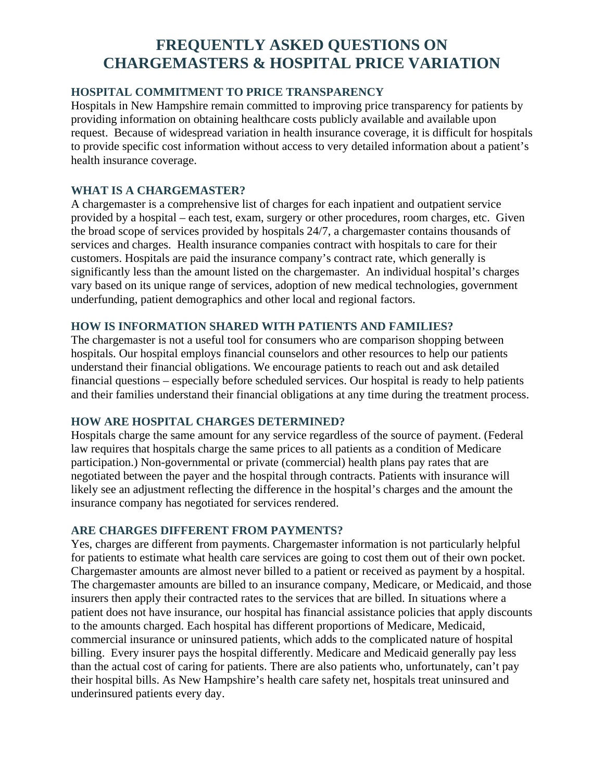## **FREQUENTLY ASKED QUESTIONS ON CHARGEMASTERS & HOSPITAL PRICE VARIATION**

## **HOSPITAL COMMITMENT TO PRICE TRANSPARENCY**

Hospitals in New Hampshire remain committed to improving price transparency for patients by providing information on obtaining healthcare costs publicly available and available upon request. Because of widespread variation in health insurance coverage, it is difficult for hospitals to provide specific cost information without access to very detailed information about a patient's health insurance coverage.

## **WHAT IS A CHARGEMASTER?**

A chargemaster is a comprehensive list of charges for each inpatient and outpatient service provided by a hospital – each test, exam, surgery or other procedures, room charges, etc. Given the broad scope of services provided by hospitals 24/7, a chargemaster contains thousands of services and charges. Health insurance companies contract with hospitals to care for their customers. Hospitals are paid the insurance company's contract rate, which generally is significantly less than the amount listed on the chargemaster. An individual hospital's charges vary based on its unique range of services, adoption of new medical technologies, government underfunding, patient demographics and other local and regional factors.

#### **HOW IS INFORMATION SHARED WITH PATIENTS AND FAMILIES?**

The chargemaster is not a useful tool for consumers who are comparison shopping between hospitals. Our hospital employs financial counselors and other resources to help our patients understand their financial obligations. We encourage patients to reach out and ask detailed financial questions – especially before scheduled services. Our hospital is ready to help patients and their families understand their financial obligations at any time during the treatment process.

#### **HOW ARE HOSPITAL CHARGES DETERMINED?**

Hospitals charge the same amount for any service regardless of the source of payment. (Federal law requires that hospitals charge the same prices to all patients as a condition of Medicare participation.) Non-governmental or private (commercial) health plans pay rates that are negotiated between the payer and the hospital through contracts. Patients with insurance will likely see an adjustment reflecting the difference in the hospital's charges and the amount the insurance company has negotiated for services rendered.

#### **ARE CHARGES DIFFERENT FROM PAYMENTS?**

Yes, charges are different from payments. Chargemaster information is not particularly helpful for patients to estimate what health care services are going to cost them out of their own pocket. Chargemaster amounts are almost never billed to a patient or received as payment by a hospital. The chargemaster amounts are billed to an insurance company, Medicare, or Medicaid, and those insurers then apply their contracted rates to the services that are billed. In situations where a patient does not have insurance, our hospital has financial assistance policies that apply discounts to the amounts charged. Each hospital has different proportions of Medicare, Medicaid, commercial insurance or uninsured patients, which adds to the complicated nature of hospital billing. Every insurer pays the hospital differently. Medicare and Medicaid generally pay less than the actual cost of caring for patients. There are also patients who, unfortunately, can't pay their hospital bills. As New Hampshire's health care safety net, hospitals treat uninsured and underinsured patients every day.